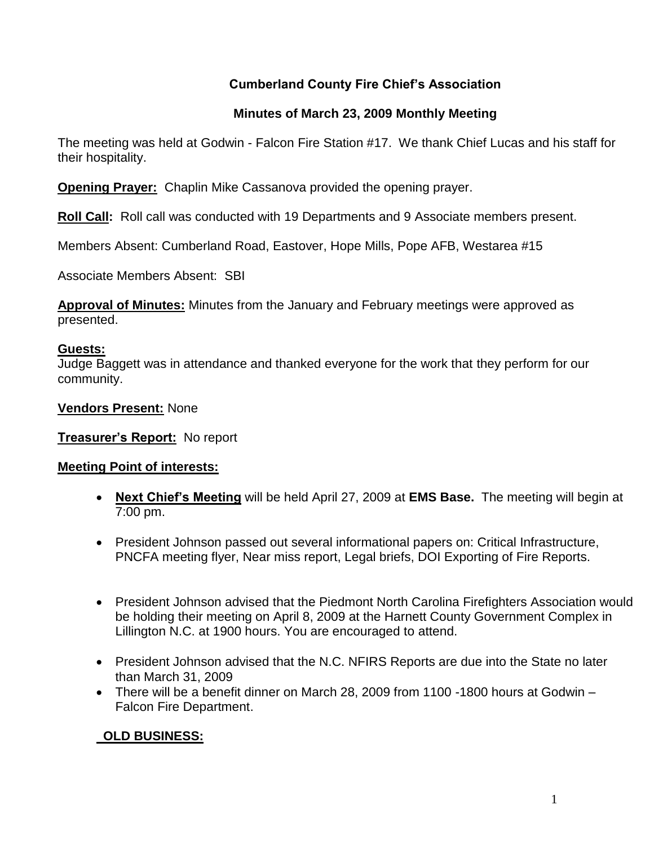# **Cumberland County Fire Chief's Association**

## **Minutes of March 23, 2009 Monthly Meeting**

The meeting was held at Godwin - Falcon Fire Station #17. We thank Chief Lucas and his staff for their hospitality.

**Opening Prayer:** Chaplin Mike Cassanova provided the opening prayer.

**Roll Call:** Roll call was conducted with 19 Departments and 9 Associate members present.

Members Absent: Cumberland Road, Eastover, Hope Mills, Pope AFB, Westarea #15

Associate Members Absent: SBI

**Approval of Minutes:** Minutes from the January and February meetings were approved as presented.

#### **Guests:**

Judge Baggett was in attendance and thanked everyone for the work that they perform for our community.

## **Vendors Present:** None

## **Treasurer's Report:** No report

## **Meeting Point of interests:**

- **Next Chief's Meeting** will be held April 27, 2009 at **EMS Base.** The meeting will begin at 7:00 pm.
- President Johnson passed out several informational papers on: Critical Infrastructure, PNCFA meeting flyer, Near miss report, Legal briefs, DOI Exporting of Fire Reports.
- President Johnson advised that the Piedmont North Carolina Firefighters Association would be holding their meeting on April 8, 2009 at the Harnett County Government Complex in Lillington N.C. at 1900 hours. You are encouraged to attend.
- President Johnson advised that the N.C. NFIRS Reports are due into the State no later than March 31, 2009
- There will be a benefit dinner on March 28, 2009 from 1100 -1800 hours at Godwin Falcon Fire Department.

# **OLD BUSINESS:**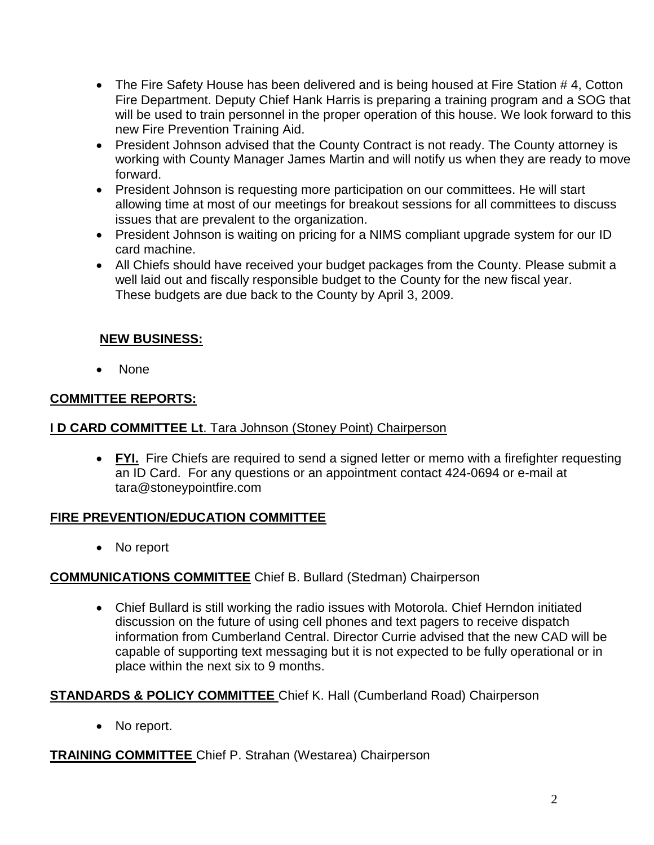- The Fire Safety House has been delivered and is being housed at Fire Station #4, Cotton Fire Department. Deputy Chief Hank Harris is preparing a training program and a SOG that will be used to train personnel in the proper operation of this house. We look forward to this new Fire Prevention Training Aid.
- President Johnson advised that the County Contract is not ready. The County attorney is working with County Manager James Martin and will notify us when they are ready to move forward.
- President Johnson is requesting more participation on our committees. He will start allowing time at most of our meetings for breakout sessions for all committees to discuss issues that are prevalent to the organization.
- President Johnson is waiting on pricing for a NIMS compliant upgrade system for our ID card machine.
- All Chiefs should have received your budget packages from the County. Please submit a well laid out and fiscally responsible budget to the County for the new fiscal year. These budgets are due back to the County by April 3, 2009.

# **NEW BUSINESS:**

None

# **COMMITTEE REPORTS:**

## **I D CARD COMMITTEE Lt**. Tara Johnson (Stoney Point) Chairperson

 **FYI.** Fire Chiefs are required to send a signed letter or memo with a firefighter requesting an ID Card. For any questions or an appointment contact 424-0694 or e-mail at [tara@stoneypointfire.com](mailto:tara@stoneypointfire.com)

## **FIRE PREVENTION/EDUCATION COMMITTEE**

• No report

# **COMMUNICATIONS COMMITTEE** Chief B. Bullard (Stedman) Chairperson

 Chief Bullard is still working the radio issues with Motorola. Chief Herndon initiated discussion on the future of using cell phones and text pagers to receive dispatch information from Cumberland Central. Director Currie advised that the new CAD will be capable of supporting text messaging but it is not expected to be fully operational or in place within the next six to 9 months.

# **STANDARDS & POLICY COMMITTEE** Chief K. Hall (Cumberland Road) Chairperson

• No report.

## **TRAINING COMMITTEE** Chief P. Strahan (Westarea) Chairperson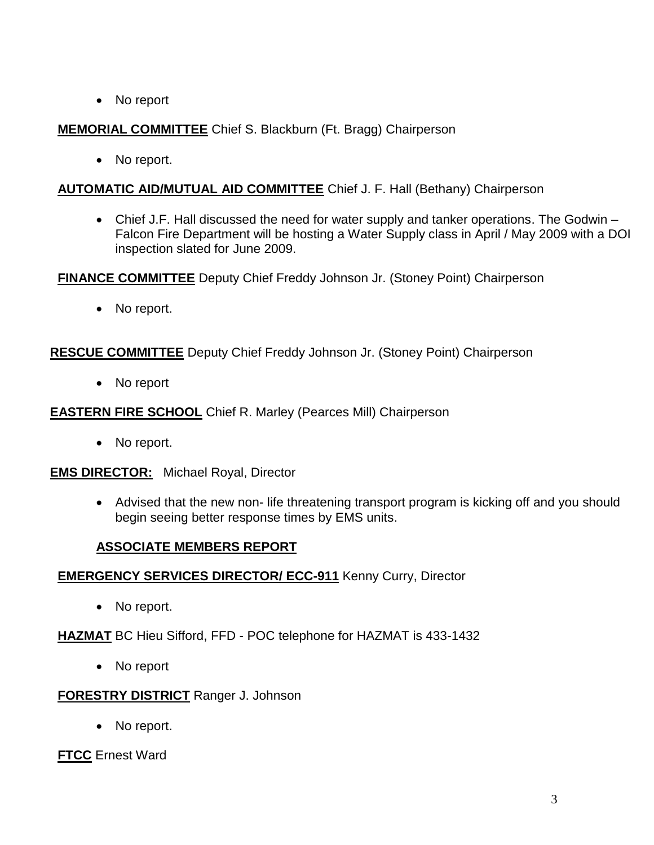• No report

# **MEMORIAL COMMITTEE** Chief S. Blackburn (Ft. Bragg) Chairperson

• No report.

## **AUTOMATIC AID/MUTUAL AID COMMITTEE** Chief J. F. Hall (Bethany) Chairperson

 Chief J.F. Hall discussed the need for water supply and tanker operations. The Godwin – Falcon Fire Department will be hosting a Water Supply class in April / May 2009 with a DOI inspection slated for June 2009.

**FINANCE COMMITTEE** Deputy Chief Freddy Johnson Jr. (Stoney Point) Chairperson

• No report.

## **RESCUE COMMITTEE** Deputy Chief Freddy Johnson Jr. (Stoney Point) Chairperson

No report

## **EASTERN FIRE SCHOOL** Chief R. Marley (Pearces Mill) Chairperson

• No report.

**EMS DIRECTOR:** Michael Royal, Director

 Advised that the new non- life threatening transport program is kicking off and you should begin seeing better response times by EMS units.

## **ASSOCIATE MEMBERS REPORT**

## **EMERGENCY SERVICES DIRECTOR/ ECC-911** Kenny Curry, Director

• No report.

**HAZMAT** BC Hieu Sifford, FFD - POC telephone for HAZMAT is 433-1432

• No report

#### **FORESTRY DISTRICT** Ranger J. Johnson

• No report.

**FTCC** Ernest Ward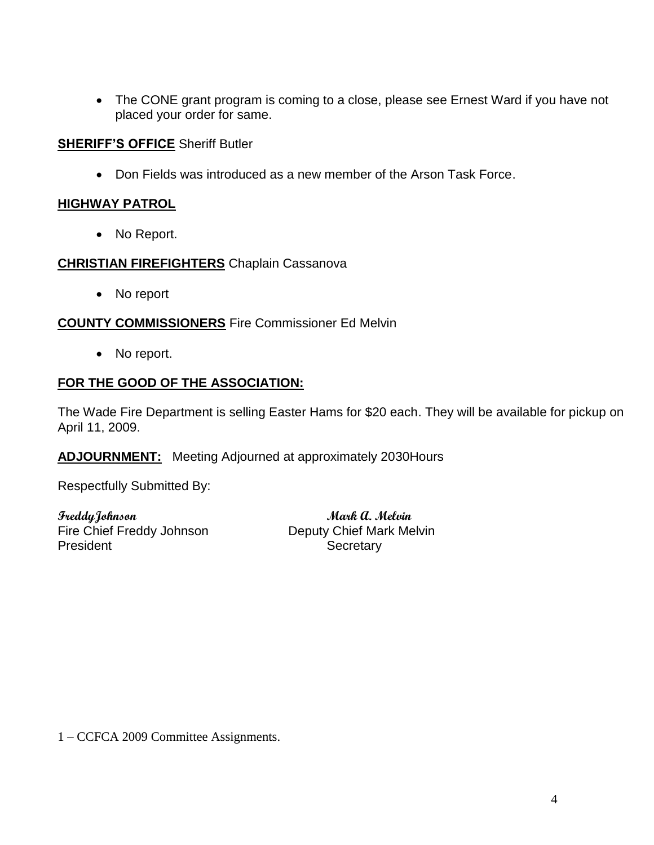• The CONE grant program is coming to a close, please see Ernest Ward if you have not placed your order for same.

#### **SHERIFF'S OFFICE** Sheriff Butler

Don Fields was introduced as a new member of the Arson Task Force.

#### **HIGHWAY PATROL**

• No Report.

#### **CHRISTIAN FIREFIGHTERS** Chaplain Cassanova

• No report

#### **COUNTY COMMISSIONERS** Fire Commissioner Ed Melvin

• No report.

## **FOR THE GOOD OF THE ASSOCIATION:**

The Wade Fire Department is selling Easter Hams for \$20 each. They will be available for pickup on April 11, 2009.

**ADJOURNMENT:** Meeting Adjourned at approximately 2030Hours

Respectfully Submitted By:

**FreddyJohnson Mark A. Melvin** Fire Chief Freddy Johnson Deputy Chief Mark Melvin President **Secretary** 

1 – CCFCA 2009 Committee Assignments.